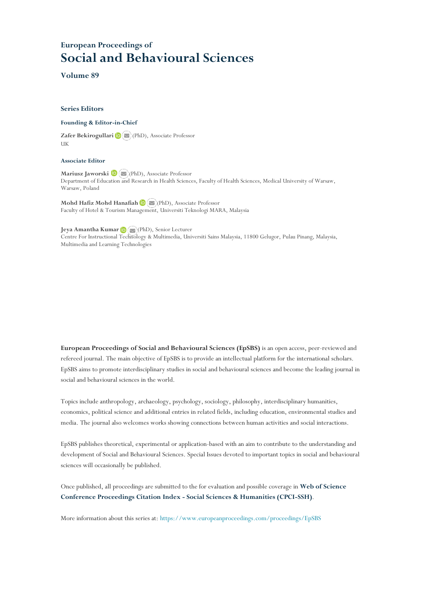# **European Proceedings of Social and Behavioural Sciences**

**Volume 89**

#### **Series Editors**

**Founding & Editor-in-Chief**

**Zafer Bekirogullari**(PhD), Associate Professor UK

#### **Associate Editor**

**Mariusz Jaworski** (PhD), Associate Professor Department of Education and Research in Health Sciences, Faculty of Health Sciences, Medical University of Warsaw, Warsaw, Poland

**Mohd Hafiz Mohd Hanafiah**(PhD), Associate Professor Faculty of Hotel & Tourism Management, Universiti Teknologi MARA, Malaysia

**Jeya Amantha Kumar**(PhD), Senior Lecturer Centre For Instructional Te[chnol](file:///C:/Users/Γιωργος/Downloads/amantha@usm.my)ogy & Multimedia, Universiti Sains Malaysia, 11800 Gelugor, Pulau Pinang, Malaysia, Multimedia and Learning Technologies

**European Proceedings of Social and Behavioural Sciences (EpSBS)** is an open access, peer-reviewed and refereed journal. The main objective of EpSBS is to provide an intellectual platform for the international scholars. EpSBS aims to promote interdisciplinary studies in social and behavioural sciences and become the leading journal in social and behavioural sciences in the world.

Topics include anthropology, archaeology, psychology, sociology, philosophy, interdisciplinary humanities, economics, political science and additional entries in related fields, including education, environmental studies and media. The journal also welcomes works showing connections between human activities and social interactions.

EpSBS publishes theoretical, experimental or application-based with an aim to contribute to the understanding and development of Social and Behavioural Sciences. Special Issues devoted to important topics in social and behavioural sciences will occasionally be published.

Once published, all proceedings are submitted to the for evaluation and possible coverage in **Web of [Science](https://clarivate.com/webofsciencegroup/solutions/webofscience-cpci/) Conference [Proceedings](https://clarivate.com/webofsciencegroup/solutions/webofscience-cpci/) Citation Index - Social Sciences & Humanities (CPCI-SSH)**.

More information about this series at: <https://www.europeanproceedings.com/proceedings/EpSBS>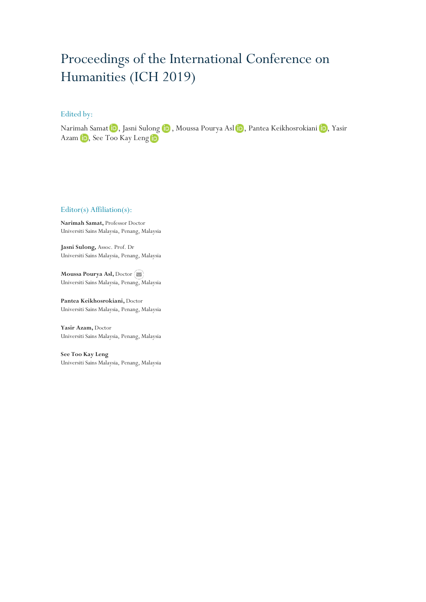# Proceedings of the International Conference on Humanities (ICH 2019)

## Edited by:

NarimahSamat D, Jasni Sulong D, Moussa Pourya Asl D, Pantea Keikhosrokiani D, Yasir Azam **iD**, See Too Kay Leng iD

### Editor(s) Affiliation(s):

**Narimah Samat,** Professor Doctor Universiti Sains Malaysia, Penang, Malaysia

**Jasni Sulong,** Assoc. Prof. Dr Universiti Sains Malaysia, Penang, Malaysia

**Moussa Pourya Asl,** Doctor Universiti Sains Malaysia, Penang, Malaysia

**Pantea Keikhosrokiani,** Doctor Universiti Sains Malaysia, Penang, Malaysia

**Yasir Azam,** Doctor Universiti Sains Malaysia, Penang, Malaysia

**See Too Kay Leng** Universiti Sains Malaysia, Penang, Malaysia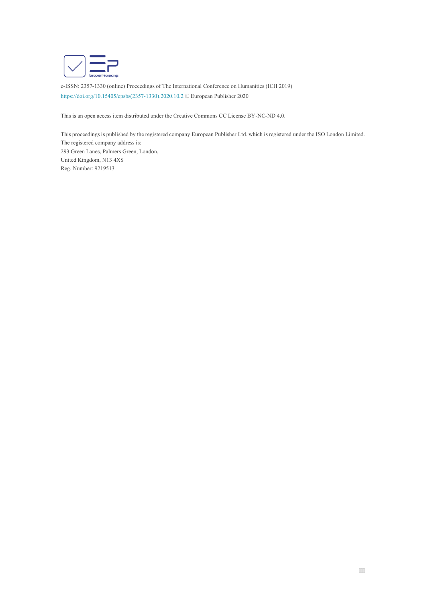

e-ISSN: 2357-1330 (online) Proceedings of The International Conference on Humanities (ICH 2019) https://doi.org/10.15405/epsbs(2357-1330).2020.10.2 © European Publisher 2020

This is an open access item distributed under the Creative Commons CC License BY-NC-ND 4.0.

This proceedings is published by the registered company European Publisher Ltd. which is registered under the ISO London Limited. The registered company address is: 293 Green Lanes, Palmers Green, London, United Kingdom, N13 4XS Reg. Number: 9219513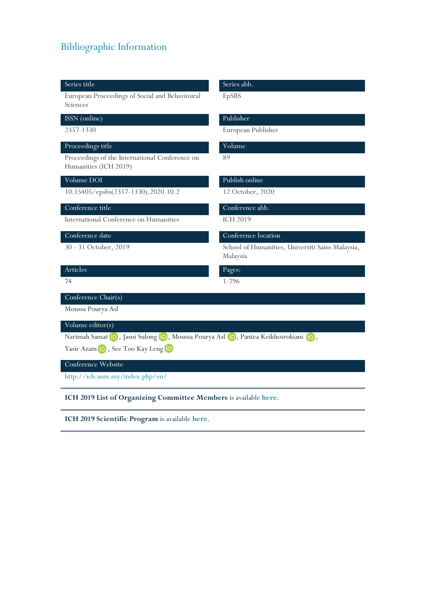# Bibliographic Information

#### Series title Series abb.

European Proceedings of Social and Behavioural Sciences

## ISSN (online) Publisher

# Proceedings title Volume

Proceedings of the International Conference on Humanities (ICH 2019)

10.15405/epsbs(2357-1330).2020.10.2 12 October, 2020

International Conference on Humanities ICH 2019

EpSBS

2357-1330 European Publisher

89

# Volume DOI Publish online

# Conference title Conference abb.

# Conference date Conference location

30 - 31 October, 2019 School of Humanities, Universiti Sains Malaysia, Malaysia

# Articles Pages:

74 1-796

## Conference Chair(s)

Moussa Pourya Asl

# Volume editor(s)

NarimahSamat **iD**, Jasni Sulong **iD**, Moussa Pourya Asl **iD**, Pantea Keikhosrokiani **iD**,

YasirAzam **D**, See Too Kay Leng **D** 

## Conference Website

<http://ich.usm.my/index.php/en/>

**ICH 2019 List of Organizing Committee Members** is available **[here](https://www.europeanproceedings.com/files/data/fileManager/2019_ICH-org-com.pdf)**.

**ICH 2019 Scientific Program** is available **[here](https://www.europeanproceedings.com/files/data/fileManager/2019_ICH-program.pdf)**.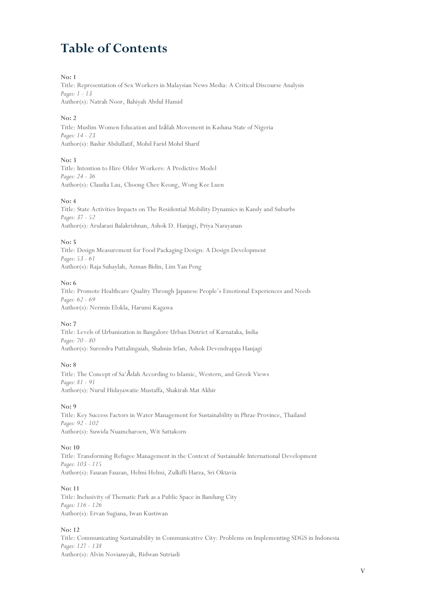# **Table of Contents**

#### **No: 1**

Title: Representation of Sex Workers in Malaysian News Media: A Critical Discourse Analysis *Pages: 1 - 13* Author(s): Natrah Noor, Bahiyah Abdul Hamid

#### **No: 2**

Title: Muslim Women Education and Izālah Movement in Kaduna State of Nigeria *Pages: 14 - 23* Author(s): Bashir Abdullatif, Mohd Farid Mohd Sharif

### **No: 3**

Title: Intention to Hire Older Workers: A Predictive Model *Pages: 24 - 36* Author(s): Claudia Lau, Choong Chee Keong, Wong Kee Luen

### **No: 4**

Title: State Activities Impacts on The Residential Mobility Dynamics in Kandy and Suburbs *Pages: 37 - 52* Author(s): Arularasi Balakrishnan, Ashok D. Hanjagi, Priya Narayanan

**No: 5**

Title: Design Measurement for Food Packaging Design: A Design Development *Pages: 53 - 61* Author(s): Raja Suhaylah, Azman Bidin, Lim Yan Peng

#### **No: 6**

Title: Promote Healthcare Quality Through Japanese People's Emotional Experiences and Needs *Pages: 62 - 69* Author(s): Nermin Elokla, Harumi Kagawa

### **No: 7**

Title: Levels of Urbanization in Bangalore Urban District of Karnataka, India *Pages: 70 - 80* Author(s): Surendra Puttalingaiah, Shahnin Irfan, Ashok Devendrappa Hanjagi

#### **No: 8**

Title: The Concept of Sa'Ādah According to Islamic, Western, and Greek Views *Pages: 81 - 91* Author(s): Nurul Hidayawatie Mustaffa, Shakirah Mat Akhir

### **No: 9**

Title: Key Success Factors in Water Management for Sustainability in Phrae Province, Thailand *Pages: 92 - 102* Author(s): Suwida Nuamcharoen, Wit Sattakorn

### **No: 10**

Title: Transforming Refugee Management in the Context of Sustainable International Development *Pages: 103 - 115* Author(s): Fauzan Fauzan, Helmi Helmi, Zulkifli Harza, Sri Oktavia

### **No: 11**

Title: Inclusivity of Thematic Park as a Public Space in Bandung City *Pages: 116 - 126* Author(s): Ervan Sugiana, Iwan Kustiwan

### **No: 12**

Title: Communicating Sustainability in Communicative City: Problems on Implementing SDGS in Indonesia *Pages: 127 - 138* Author(s): Alvin Noviansyah, Ridwan Sutriadi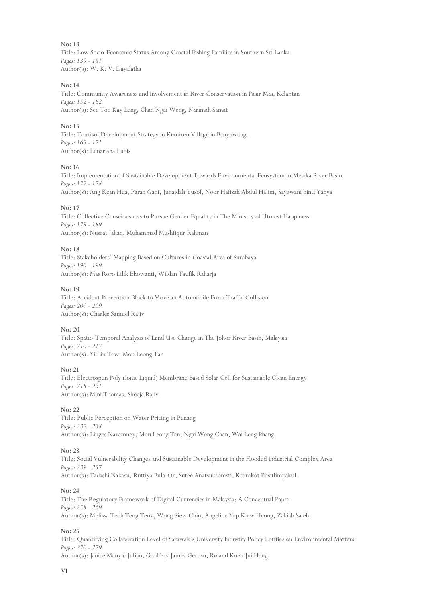**No: 13** Title: Low Socio-Economic Status Among Coastal Fishing Families in Southern Sri Lanka *Pages: 139 - 151* Author(s): W. K. V. Dayalatha

#### **No: 14**

Title: Community Awareness and Involvement in River Conservation in Pasir Mas, Kelantan *Pages: 152 - 162* Author(s): See Too Kay Leng, Chan Ngai Weng, Narimah Samat

#### **No: 15**

Title: Tourism Development Strategy in Kemiren Village in Banyuwangi *Pages: 163 - 171* Author(s): Lunariana Lubis

#### **No: 16**

Title: Implementation of Sustainable Development Towards Environmental Ecosystem in Melaka River Basin *Pages: 172 - 178* Author(s): Ang Kean Hua, Paran Gani, Junaidah Yusof, Noor Hafizah Abdul Halim, Sayzwani binti Yahya

#### **No: 17**

Title: Collective Consciousness to Pursue Gender Equality in The Ministry of Utmost Happiness *Pages: 179 - 189* Author(s): Nusrat Jahan, Muhammad Mushfiqur Rahman

#### **No: 18**

Title: Stakeholders' Mapping Based on Cultures in Coastal Area of Surabaya *Pages: 190 - 199* Author(s): Mas Roro Lilik Ekowanti, Wildan Taufik Raharja

#### **No: 19**

Title: Accident Prevention Block to Move an Automobile From Traffic Collision *Pages: 200 - 209* Author(s): Charles Samuel Rajiv

### **No: 20**

Title: Spatio-Temporal Analysis of Land Use Change in The Johor River Basin, Malaysia *Pages: 210 - 217* Author(s): Yi Lin Tew, Mou Leong Tan

#### **No: 21**

Title: Electrospun Poly (Ionic Liquid) Membrane Based Solar Cell for Sustainable Clean Energy *Pages: 218 - 231* Author(s): Mini Thomas, Sheeja Rajiv

#### **No: 22**

Title: Public Perception on Water Pricing in Penang *Pages: 232 - 238* Author(s): Linges Navamney, Mou Leong Tan, Ngai Weng Chan, Wai Leng Phang

#### **No: 23**

Title: Social Vulnerability Changes and Sustainable Development in the Flooded Industrial Complex Area *Pages: 239 - 257* Author(s): Tadashi Nakasu, Ruttiya Bula-Or, Sutee Anatsuksomsti, Korrakot Positlimpakul

#### **No: 24**

Title: The Regulatory Framework of Digital Currencies in Malaysia: A Conceptual Paper *Pages: 258 - 269* Author(s): Melissa Teoh Teng Tenk, Wong Siew Chin, Angeline Yap Kiew Heong, Zakiah Saleh

#### **No: 25**

Title: Quantifying Collaboration Level of Sarawak's University Industry Policy Entities on Environmental Matters *Pages: 270 - 279*

Author(s): Janice Manyie Julian, Geoffery James Gerusu, Roland Kueh Jui Heng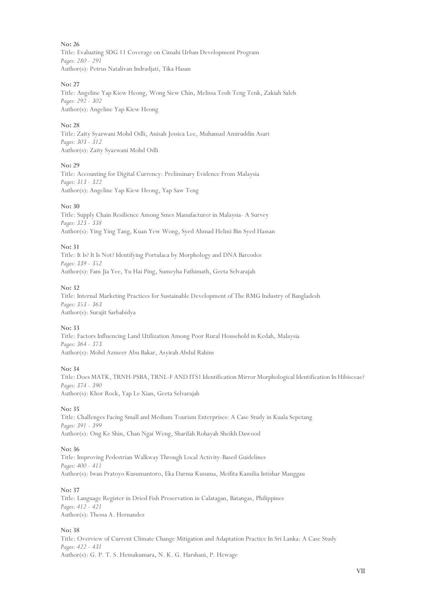**No: 26** Title: Evaluating SDG 11 Coverage on Cimahi Urban Development Program *Pages: 280 - 291* Author(s): Petrus Natalivan Indradjati, Tika Hasan

#### **No: 27**

Title: Angeline Yap Kiew Heong, Wong Siew Chin, Melissa Teoh Teng Tenk, Zakiah Saleh *Pages: 292 - 302* Author(s): Angeline Yap Kiew Heong

#### **No: 28**

Title: Zaity Syazwani Mohd Odli, Anisah Jessica Lee, Muhamad Amiruddin Asari *Pages: 303 - 312* Author(s): Zaity Syazwani Mohd Odli

#### **No: 29**

Title: Accounting for Digital Currency: Preliminary Evidence From Malaysia *Pages: 313 - 322* Author(s): Angeline Yap Kiew Heong, Yap Saw Teng

#### **No: 30**

Title: Supply Chain Resilience Among Smes Manufacturer in Malaysia- A Survey *Pages: 323 - 338* Author(s): Ying Ying Tang, Kuan Yew Wong, Syed Ahmad Helmi Bin Syed Hassan

#### **No: 31**

Title: It Is? It Is Not? Identifying Portulaca by Morphology and DNA Barcodes *Pages: 339 - 352* Author(s): Fam Jia Yee, Yu Hai Ping, Sumeyha Fathimath, Geeta Selvarajah

#### **No: 32**

Title: Internal Marketing Practices for Sustainable Development of The RMG Industry of Bangladesh *Pages: 353 - 363* Author(s): Surajit Sarbabidya

### **No: 33**

Title: Factors Influencing Land Utilization Among Poor Rural Household in Kedah, Malaysia *Pages: 364 - 373* Author(s): Mohd Azmeer Abu Bakar, Asyirah Abdul Rahim

#### **No: 34**

Title: Does MATK, TRNH-PSBA, TRNL-F AND ITS1 Identification Mirror Morphological Identification In Hibisceae? *Pages: 374 - 390* Author(s): Khor Rock, Yap Le Xian, Geeta Selvarajah

#### **No: 35**

Title: Challenges Facing Small and Medium Tourism Enterprises: A Case Study in Kuala Sepetang *Pages: 391 - 399* Author(s): Ong Ke Shin, Chan Ngai Weng, Sharifah Rohayah Sheikh Dawood

### **No: 36**

Title: Improving Pedestrian Walkway Through Local Activity-Based Guidelines *Pages: 400 - 411* Author(s): Iwan Pratoyo Kusumantoro, Eka Darma Kusuma, Meifita Kamilia Intishar Manggau

#### **No: 37**

Title: Language Register in Dried Fish Preservation in Calatagan, Batangas, Philippines *Pages: 412 - 421* Author(s): Thessa A. Hernandez

### **No: 38**

Title: Overview of Current Climate Change Mitigation and Adaptation Practice In Sri Lanka: A Case Study *Pages: 422 - 431* Author(s): G. P. T. S. Hemakumara, N. K. G. Harshani, P. Hewage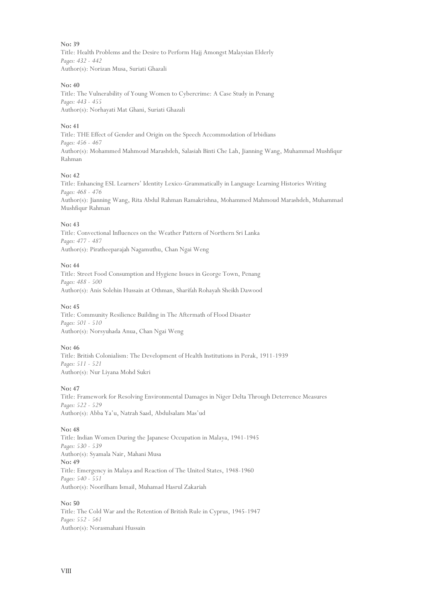**No: 39** Title: Health Problems and the Desire to Perform Hajj Amongst Malaysian Elderly *Pages: 432 - 442* Author(s): Norizan Musa, Suriati Ghazali

#### **No: 40**

Title: The Vulnerability of Young Women to Cybercrime: A Case Study in Penang *Pages: 443 - 455* Author(s): Norhayati Mat Ghani, Suriati Ghazali

#### **No: 41**

Title: THE Effect of Gender and Origin on the Speech Accommodation of Irbidians *Pages: 456 - 467* Author(s): Mohammed Mahmoud Marashdeh, Salasiah Binti Che Lah, Jianning Wang, Muhammad Mushfiqur Rahman

#### **No: 42**

Title: Enhancing ESL Learners' Identity Lexico-Grammatically in Language Learning Histories Writing *Pages: 468 - 476* Author(s): Jianning Wang, Rita Abdul Rahman Ramakrishna, Mohammed Mahmoud Marashdeh, Muhammad Mushfiqur Rahman

#### **No: 43**

Title: Convectional Influences on the Weather Pattern of Northern Sri Lanka *Pages: 477 - 487* Author(s): Piratheeparajah Nagamuthu, Chan Ngai Weng

#### **No: 44**

Title: Street Food Consumption and Hygiene Issues in George Town, Penang *Pages: 488 - 500* Author(s): Anis Solehin Hussain at Othman, Sharifah Rohayah Sheikh Dawood

#### **No: 45**

Title: Community Resilience Building in The Aftermath of Flood Disaster *Pages: 501 - 510* Author(s): Norsyuhada Anua, Chan Ngai Weng

#### **No: 46**

Title: British Colonialism: The Development of Health Institutions in Perak, 1911-1939 *Pages: 511 - 521* Author(s): Nur Liyana Mohd Sukri

#### **No: 47**

Title: Framework for Resolving Environmental Damages in Niger Delta Through Deterrence Measures *Pages: 522 - 529* Author(s): Abba Ya'u, Natrah Saad, Abdulsalam Mas'ud

#### **No: 48**

Title: Indian Women During the Japanese Occupation in Malaya, 1941-1945 *Pages: 530 - 539* Author(s): Syamala Nair, Mahani Musa **No: 49** Title: Emergency in Malaya and Reaction of The United States, 1948-1960 *Pages: 540 - 551* Author(s): Noorilham Ismail, Muhamad Hasrul Zakariah

#### **No: 50**

Title: The Cold War and the Retention of British Rule in Cyprus, 1945-1947 *Pages: 552 - 561* Author(s): Norasmahani Hussain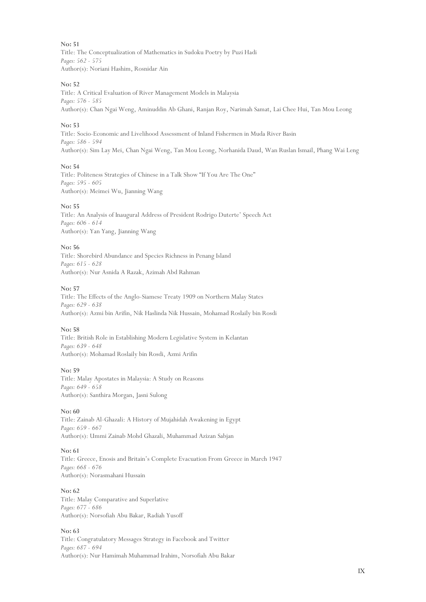**No: 51** Title: The Conceptualization of Mathematics in Sudoku Poetry by Puzi Hadi *Pages: 562 - 575* Author(s): Noriani Hashim, Rosnidar Ain

#### **No: 52**

Title: A Critical Evaluation of River Management Models in Malaysia *Pages: 576 - 585* Author(s): Chan Ngai Weng, Aminuddin Ab Ghani, Ranjan Roy, Narimah Samat, Lai Chee Hui, Tan Mou Leong

#### **No: 53**

Title: Socio-Economic and Livelihood Assessment of Inland Fishermen in Muda River Basin *Pages: 586 - 594* Author(s): Sim Lay Mei, Chan Ngai Weng, Tan Mou Leong, Norhanida Daud, Wan Ruslan Ismail, Phang Wai Leng

#### **No: 54**

Title: Politeness Strategies of Chinese in a Talk Show "If You Are The One" *Pages: 595 - 605* Author(s): Meimei Wu, Jianning Wang

#### **No: 55**

Title: An Analysis of Inaugural Address of President Rodrigo Duterte' Speech Act *Pages: 606 - 614* Author(s): Yan Yang, Jianning Wang

#### **No: 56**

Title: Shorebird Abundance and Species Richness in Penang Island *Pages: 615 - 628* Author(s): Nur Asnida A Razak, Azimah Abd Rahman

#### **No: 57**

Title: The Effects of the Anglo-Siamese Treaty 1909 on Northern Malay States *Pages: 629 - 638* Author(s): Azmi bin Arifin, Nik Haslinda Nik Hussain, Mohamad Roslaily bin Rosdi

#### **No: 58**

Title: British Role in Establishing Modern Legislative System in Kelantan *Pages: 639 - 648* Author(s): Mohamad Roslaily bin Rosdi, Azmi Arifin

#### **No: 59**

Title: Malay Apostates in Malaysia: A Study on Reasons *Pages: 649 - 658* Author(s): Santhira Morgan, Jasni Sulong

#### **No: 60**

Title: Zainab Al-Ghazali: A History of Mujahidah Awakening in Egypt *Pages: 659 - 667* Author(s): Ummi Zainab Mohd Ghazali, Muhammad Azizan Sabjan

#### **No: 61**

Title: Greece, Enosis and Britain's Complete Evacuation From Greece in March 1947 *Pages: 668 - 676* Author(s): Norasmahani Hussain

#### **No: 62**

Title: Malay Comparative and Superlative *Pages: 677 - 686* Author(s): Norsofiah Abu Bakar, Radiah Yusoff

#### **No: 63**

Title: Congratulatory Messages Strategy in Facebook and Twitter *Pages: 687 - 694* Author(s): Nur Hamimah Muhammad Irahim, Norsofiah Abu Bakar